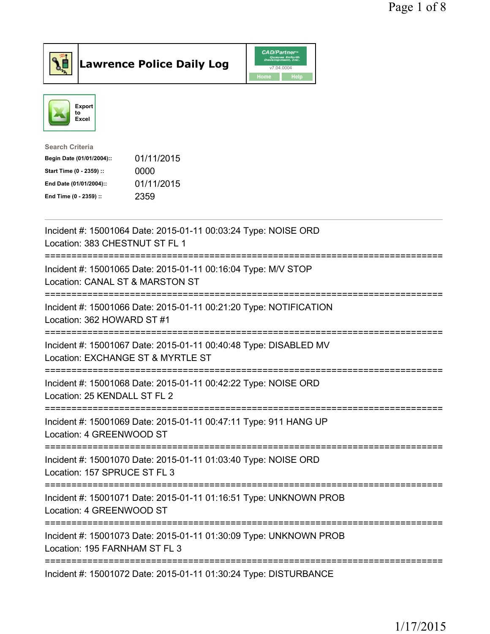



| <b>Search Criteria</b>    |            |
|---------------------------|------------|
| Begin Date (01/01/2004):: | 01/11/2015 |
| Start Time (0 - 2359) ::  | 0000       |
| End Date (01/01/2004)::   | 01/11/2015 |
| End Time (0 - 2359) ::    | 2359       |
|                           |            |

| Incident #: 15001064 Date: 2015-01-11 00:03:24 Type: NOISE ORD<br>Location: 383 CHESTNUT ST FL 1                        |
|-------------------------------------------------------------------------------------------------------------------------|
| Incident #: 15001065 Date: 2015-01-11 00:16:04 Type: M/V STOP<br>Location: CANAL ST & MARSTON ST<br>------------------- |
| Incident #: 15001066 Date: 2015-01-11 00:21:20 Type: NOTIFICATION<br>Location: 362 HOWARD ST #1                         |
| Incident #: 15001067 Date: 2015-01-11 00:40:48 Type: DISABLED MV<br>Location: EXCHANGE ST & MYRTLE ST                   |
| Incident #: 15001068 Date: 2015-01-11 00:42:22 Type: NOISE ORD<br>Location: 25 KENDALL ST FL 2<br>:===========          |
| Incident #: 15001069 Date: 2015-01-11 00:47:11 Type: 911 HANG UP<br>Location: 4 GREENWOOD ST                            |
| Incident #: 15001070 Date: 2015-01-11 01:03:40 Type: NOISE ORD<br>Location: 157 SPRUCE ST FL 3                          |
| Incident #: 15001071 Date: 2015-01-11 01:16:51 Type: UNKNOWN PROB<br>Location: 4 GREENWOOD ST                           |
| Incident #: 15001073 Date: 2015-01-11 01:30:09 Type: UNKNOWN PROB<br>Location: 195 FARNHAM ST FL 3                      |
| Incident #: 15001072 Date: 2015-01-11 01:30:24 Type: DISTURBANCE                                                        |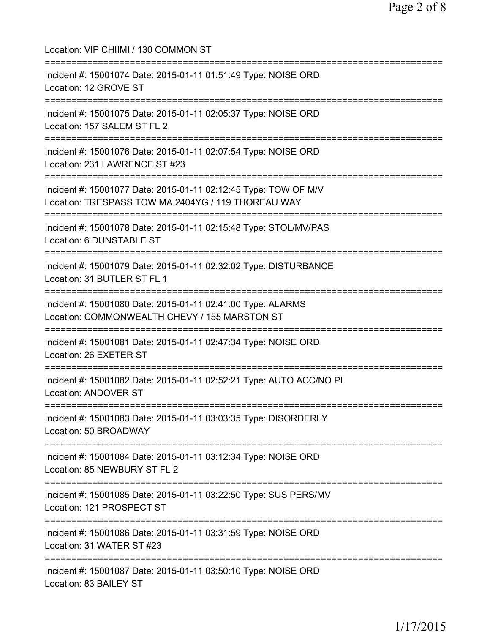| Location: VIP CHIIMI / 130 COMMON ST                                                                                               |
|------------------------------------------------------------------------------------------------------------------------------------|
| Incident #: 15001074 Date: 2015-01-11 01:51:49 Type: NOISE ORD<br>Location: 12 GROVE ST                                            |
| Incident #: 15001075 Date: 2015-01-11 02:05:37 Type: NOISE ORD<br>Location: 157 SALEM ST FL 2                                      |
| Incident #: 15001076 Date: 2015-01-11 02:07:54 Type: NOISE ORD<br>Location: 231 LAWRENCE ST #23<br>=============================== |
| Incident #: 15001077 Date: 2015-01-11 02:12:45 Type: TOW OF M/V<br>Location: TRESPASS TOW MA 2404YG / 119 THOREAU WAY              |
| Incident #: 15001078 Date: 2015-01-11 02:15:48 Type: STOL/MV/PAS<br>Location: 6 DUNSTABLE ST                                       |
| :=========================<br>Incident #: 15001079 Date: 2015-01-11 02:32:02 Type: DISTURBANCE<br>Location: 31 BUTLER ST FL 1      |
| Incident #: 15001080 Date: 2015-01-11 02:41:00 Type: ALARMS<br>Location: COMMONWEALTH CHEVY / 155 MARSTON ST                       |
| Incident #: 15001081 Date: 2015-01-11 02:47:34 Type: NOISE ORD<br>Location: 26 EXETER ST                                           |
| Incident #: 15001082 Date: 2015-01-11 02:52:21 Type: AUTO ACC/NO PI<br><b>Location: ANDOVER ST</b>                                 |
| Incident #: 15001083 Date: 2015-01-11 03:03:35 Type: DISORDERLY<br>Location: 50 BROADWAY                                           |
| Incident #: 15001084 Date: 2015-01-11 03:12:34 Type: NOISE ORD<br>Location: 85 NEWBURY ST FL 2                                     |
| Incident #: 15001085 Date: 2015-01-11 03:22:50 Type: SUS PERS/MV<br>Location: 121 PROSPECT ST                                      |
| Incident #: 15001086 Date: 2015-01-11 03:31:59 Type: NOISE ORD<br>Location: 31 WATER ST #23                                        |
| Incident #: 15001087 Date: 2015-01-11 03:50:10 Type: NOISE ORD<br>Location: 83 BAILEY ST                                           |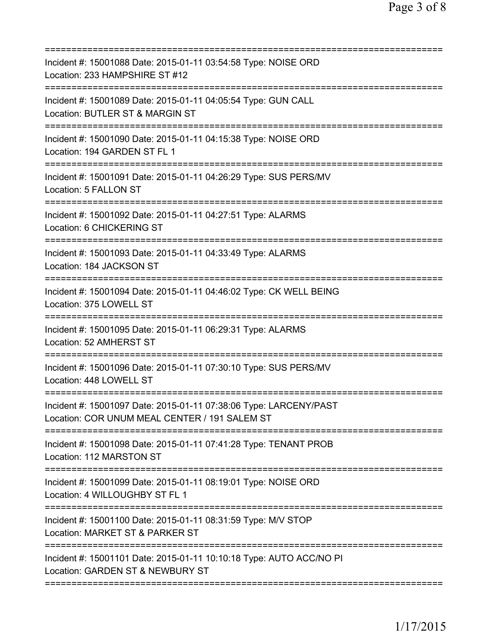| Incident #: 15001088 Date: 2015-01-11 03:54:58 Type: NOISE ORD<br>Location: 233 HAMPSHIRE ST #12<br>========================= |
|-------------------------------------------------------------------------------------------------------------------------------|
| Incident #: 15001089 Date: 2015-01-11 04:05:54 Type: GUN CALL<br>Location: BUTLER ST & MARGIN ST                              |
| Incident #: 15001090 Date: 2015-01-11 04:15:38 Type: NOISE ORD<br>Location: 194 GARDEN ST FL 1                                |
| Incident #: 15001091 Date: 2015-01-11 04:26:29 Type: SUS PERS/MV<br>Location: 5 FALLON ST                                     |
| Incident #: 15001092 Date: 2015-01-11 04:27:51 Type: ALARMS<br>Location: 6 CHICKERING ST                                      |
| Incident #: 15001093 Date: 2015-01-11 04:33:49 Type: ALARMS<br>Location: 184 JACKSON ST                                       |
| Incident #: 15001094 Date: 2015-01-11 04:46:02 Type: CK WELL BEING<br>Location: 375 LOWELL ST                                 |
| Incident #: 15001095 Date: 2015-01-11 06:29:31 Type: ALARMS<br>Location: 52 AMHERST ST                                        |
| Incident #: 15001096 Date: 2015-01-11 07:30:10 Type: SUS PERS/MV<br>Location: 448 LOWELL ST                                   |
| Incident #: 15001097 Date: 2015-01-11 07:38:06 Type: LARCENY/PAST<br>Location: COR UNUM MEAL CENTER / 191 SALEM ST            |
| Incident #: 15001098 Date: 2015-01-11 07:41:28 Type: TENANT PROB<br>Location: 112 MARSTON ST                                  |
| Incident #: 15001099 Date: 2015-01-11 08:19:01 Type: NOISE ORD<br>Location: 4 WILLOUGHBY ST FL 1                              |
| Incident #: 15001100 Date: 2015-01-11 08:31:59 Type: M/V STOP<br>Location: MARKET ST & PARKER ST                              |
| Incident #: 15001101 Date: 2015-01-11 10:10:18 Type: AUTO ACC/NO PI<br>Location: GARDEN ST & NEWBURY ST                       |
|                                                                                                                               |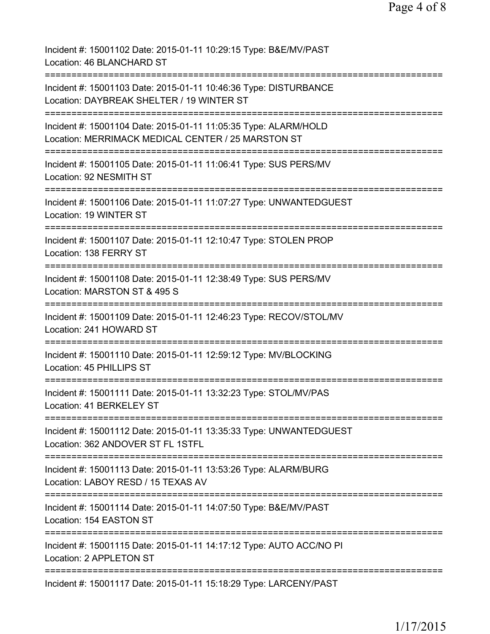| Incident #: 15001102 Date: 2015-01-11 10:29:15 Type: B&E/MV/PAST<br>Location: 46 BLANCHARD ST                              |
|----------------------------------------------------------------------------------------------------------------------------|
| Incident #: 15001103 Date: 2015-01-11 10:46:36 Type: DISTURBANCE<br>Location: DAYBREAK SHELTER / 19 WINTER ST              |
| Incident #: 15001104 Date: 2015-01-11 11:05:35 Type: ALARM/HOLD<br>Location: MERRIMACK MEDICAL CENTER / 25 MARSTON ST      |
| ===========================<br>Incident #: 15001105 Date: 2015-01-11 11:06:41 Type: SUS PERS/MV<br>Location: 92 NESMITH ST |
| Incident #: 15001106 Date: 2015-01-11 11:07:27 Type: UNWANTEDGUEST<br>Location: 19 WINTER ST                               |
| Incident #: 15001107 Date: 2015-01-11 12:10:47 Type: STOLEN PROP<br>Location: 138 FERRY ST                                 |
| Incident #: 15001108 Date: 2015-01-11 12:38:49 Type: SUS PERS/MV<br>Location: MARSTON ST & 495 S                           |
| Incident #: 15001109 Date: 2015-01-11 12:46:23 Type: RECOV/STOL/MV<br>Location: 241 HOWARD ST                              |
| Incident #: 15001110 Date: 2015-01-11 12:59:12 Type: MV/BLOCKING<br>Location: 45 PHILLIPS ST                               |
| Incident #: 15001111 Date: 2015-01-11 13:32:23 Type: STOL/MV/PAS<br>Location: 41 BERKELEY ST                               |
| Incident #: 15001112 Date: 2015-01-11 13:35:33 Type: UNWANTEDGUEST<br>Location: 362 ANDOVER ST FL 1STFL                    |
| Incident #: 15001113 Date: 2015-01-11 13:53:26 Type: ALARM/BURG<br>Location: LABOY RESD / 15 TEXAS AV                      |
| Incident #: 15001114 Date: 2015-01-11 14:07:50 Type: B&E/MV/PAST<br>Location: 154 EASTON ST                                |
| Incident #: 15001115 Date: 2015-01-11 14:17:12 Type: AUTO ACC/NO PI<br>Location: 2 APPLETON ST                             |
| Incident #: 15001117 Date: 2015-01-11 15:18:29 Type: LARCENY/PAST                                                          |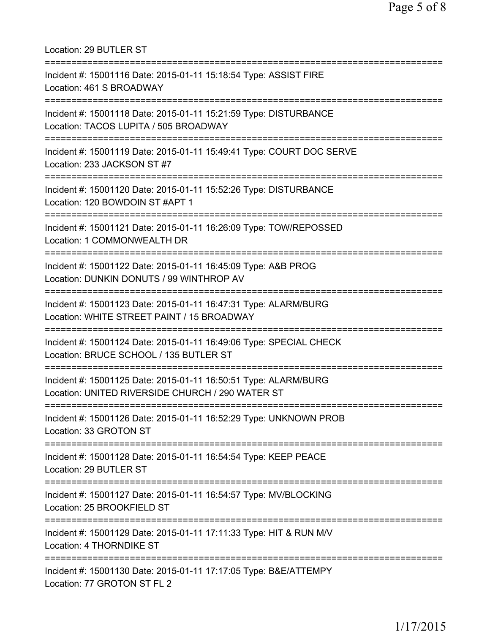Location: 29 BUTLER ST =========================================================================== Incident #: 15001116 Date: 2015-01-11 15:18:54 Type: ASSIST FIRE Location: 461 S BROADWAY =========================================================================== Incident #: 15001118 Date: 2015-01-11 15:21:59 Type: DISTURBANCE Location: TACOS LUPITA / 505 BROADWAY =========================================================================== Incident #: 15001119 Date: 2015-01-11 15:49:41 Type: COURT DOC SERVE Location: 233 JACKSON ST #7 =========================================================================== Incident #: 15001120 Date: 2015-01-11 15:52:26 Type: DISTURBANCE Location: 120 BOWDOIN ST #APT 1 =========================================================================== Incident #: 15001121 Date: 2015-01-11 16:26:09 Type: TOW/REPOSSED Location: 1 COMMONWEALTH DR =========================================================================== Incident #: 15001122 Date: 2015-01-11 16:45:09 Type: A&B PROG Location: DUNKIN DONUTS / 99 WINTHROP AV =========================================================================== Incident #: 15001123 Date: 2015-01-11 16:47:31 Type: ALARM/BURG Location: WHITE STREET PAINT / 15 BROADWAY =========================================================================== Incident #: 15001124 Date: 2015-01-11 16:49:06 Type: SPECIAL CHECK Location: BRUCE SCHOOL / 135 BUTLER ST =========================================================================== Incident #: 15001125 Date: 2015-01-11 16:50:51 Type: ALARM/BURG Location: UNITED RIVERSIDE CHURCH / 290 WATER ST =========================================================================== Incident #: 15001126 Date: 2015-01-11 16:52:29 Type: UNKNOWN PROB Location: 33 GROTON ST =========================================================================== Incident #: 15001128 Date: 2015-01-11 16:54:54 Type: KEEP PEACE Location: 29 BUTLER ST =========================================================================== Incident #: 15001127 Date: 2015-01-11 16:54:57 Type: MV/BLOCKING Location: 25 BROOKFIELD ST =========================================================================== Incident #: 15001129 Date: 2015-01-11 17:11:33 Type: HIT & RUN M/V Location: 4 THORNDIKE ST =========================================================================== Incident #: 15001130 Date: 2015-01-11 17:17:05 Type: B&E/ATTEMPY Location: 77 GROTON ST FL 2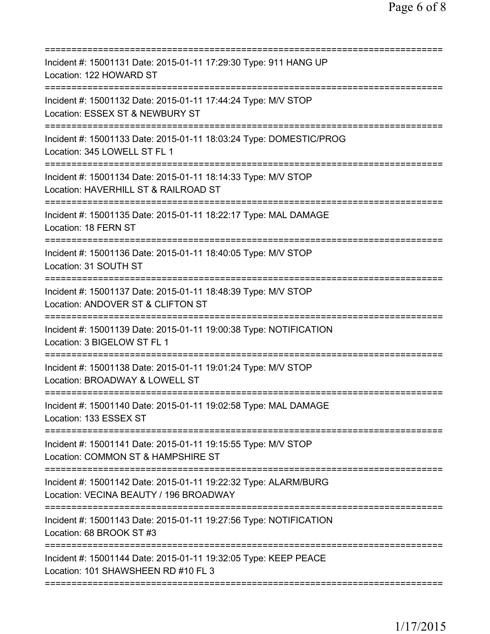| Incident #: 15001131 Date: 2015-01-11 17:29:30 Type: 911 HANG UP<br>Location: 122 HOWARD ST                                                        |
|----------------------------------------------------------------------------------------------------------------------------------------------------|
| Incident #: 15001132 Date: 2015-01-11 17:44:24 Type: M/V STOP<br>Location: ESSEX ST & NEWBURY ST                                                   |
| Incident #: 15001133 Date: 2015-01-11 18:03:24 Type: DOMESTIC/PROG<br>Location: 345 LOWELL ST FL 1                                                 |
| Incident #: 15001134 Date: 2015-01-11 18:14:33 Type: M/V STOP<br>Location: HAVERHILL ST & RAILROAD ST<br>================================          |
| Incident #: 15001135 Date: 2015-01-11 18:22:17 Type: MAL DAMAGE<br>Location: 18 FERN ST                                                            |
| Incident #: 15001136 Date: 2015-01-11 18:40:05 Type: M/V STOP<br>Location: 31 SOUTH ST                                                             |
| Incident #: 15001137 Date: 2015-01-11 18:48:39 Type: M/V STOP<br>Location: ANDOVER ST & CLIFTON ST                                                 |
| Incident #: 15001139 Date: 2015-01-11 19:00:38 Type: NOTIFICATION<br>Location: 3 BIGELOW ST FL 1                                                   |
| Incident #: 15001138 Date: 2015-01-11 19:01:24 Type: M/V STOP<br>Location: BROADWAY & LOWELL ST                                                    |
| Incident #: 15001140 Date: 2015-01-11 19:02:58 Type: MAL DAMAGE<br>Location: 133 ESSEX ST                                                          |
| Incident #: 15001141 Date: 2015-01-11 19:15:55 Type: M/V STOP<br>Location: COMMON ST & HAMPSHIRE ST                                                |
| Incident #: 15001142 Date: 2015-01-11 19:22:32 Type: ALARM/BURG<br>Location: VECINA BEAUTY / 196 BROADWAY<br>===================================== |
| Incident #: 15001143 Date: 2015-01-11 19:27:56 Type: NOTIFICATION<br>Location: 68 BROOK ST #3                                                      |
| Incident #: 15001144 Date: 2015-01-11 19:32:05 Type: KEEP PEACE<br>Location: 101 SHAWSHEEN RD #10 FL 3                                             |
|                                                                                                                                                    |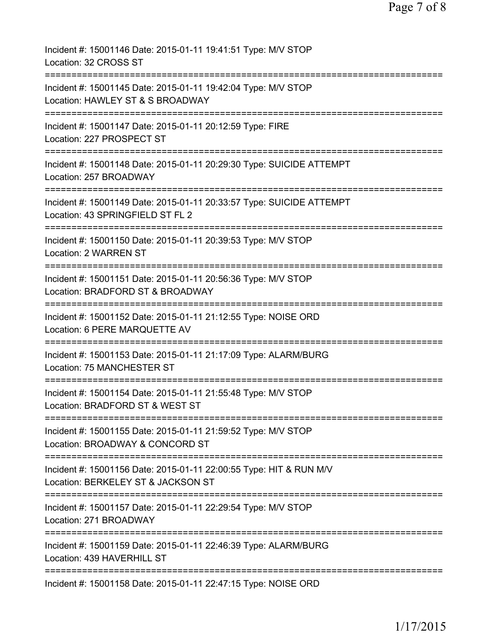| Incident #: 15001146 Date: 2015-01-11 19:41:51 Type: M/V STOP<br>Location: 32 CROSS ST                                                            |
|---------------------------------------------------------------------------------------------------------------------------------------------------|
| Incident #: 15001145 Date: 2015-01-11 19:42:04 Type: M/V STOP<br>Location: HAWLEY ST & S BROADWAY<br>=======================                      |
| Incident #: 15001147 Date: 2015-01-11 20:12:59 Type: FIRE<br>Location: 227 PROSPECT ST                                                            |
| Incident #: 15001148 Date: 2015-01-11 20:29:30 Type: SUICIDE ATTEMPT<br>Location: 257 BROADWAY                                                    |
| =====================================<br>Incident #: 15001149 Date: 2015-01-11 20:33:57 Type: SUICIDE ATTEMPT<br>Location: 43 SPRINGFIELD ST FL 2 |
| Incident #: 15001150 Date: 2015-01-11 20:39:53 Type: M/V STOP<br>Location: 2 WARREN ST<br>================================                        |
| Incident #: 15001151 Date: 2015-01-11 20:56:36 Type: M/V STOP<br>Location: BRADFORD ST & BROADWAY                                                 |
| Incident #: 15001152 Date: 2015-01-11 21:12:55 Type: NOISE ORD<br>Location: 6 PERE MARQUETTE AV                                                   |
| Incident #: 15001153 Date: 2015-01-11 21:17:09 Type: ALARM/BURG<br>Location: 75 MANCHESTER ST                                                     |
| Incident #: 15001154 Date: 2015-01-11 21:55:48 Type: M/V STOP<br>Location: BRADFORD ST & WEST ST                                                  |
| ============================<br>Incident #: 15001155 Date: 2015-01-11 21:59:52 Type: M/V STOP<br>Location: BROADWAY & CONCORD ST                  |
| ==============================<br>Incident #: 15001156 Date: 2015-01-11 22:00:55 Type: HIT & RUN M/V<br>Location: BERKELEY ST & JACKSON ST        |
| Incident #: 15001157 Date: 2015-01-11 22:29:54 Type: M/V STOP<br>Location: 271 BROADWAY                                                           |
| Incident #: 15001159 Date: 2015-01-11 22:46:39 Type: ALARM/BURG<br>Location: 439 HAVERHILL ST                                                     |
| ===================<br>Incident #: 15001158 Date: 2015-01-11 22:47:15 Type: NOISE ORD                                                             |